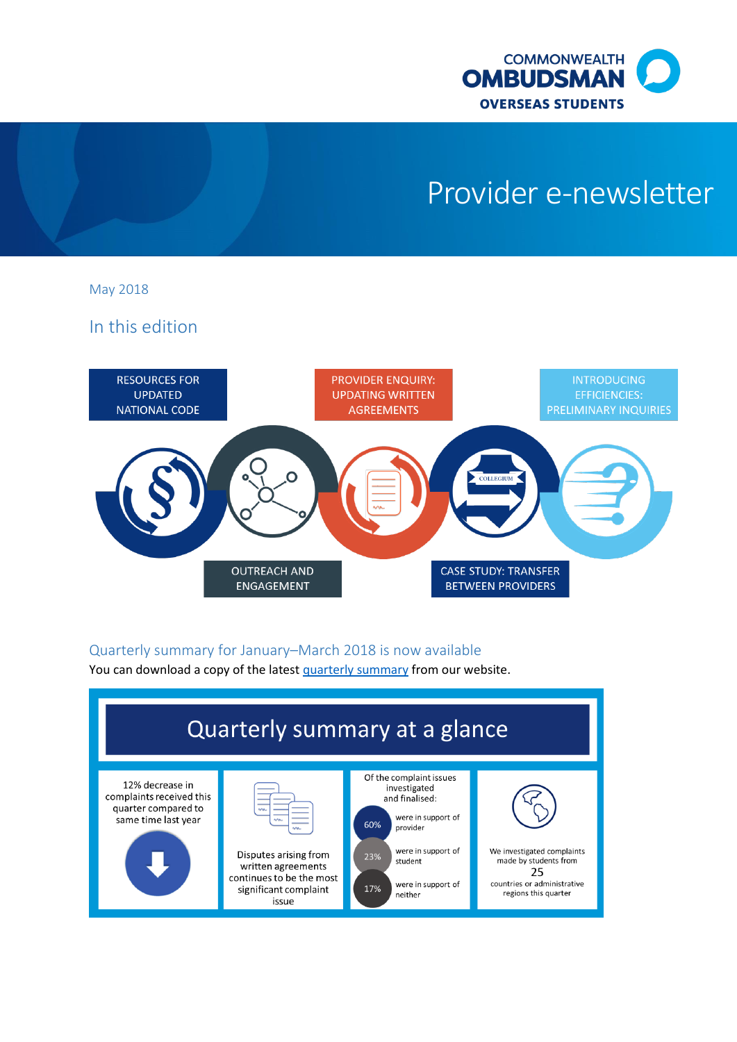

# Provider e-newsletter

May 2018

In this edition



## Quarterly summary for January–March 2018 is now available

You can download a copy of the lates[t quarterly summary](http://www.ombudsman.gov.au/publications/oso-publications/reports/oso-quarterly-reports) from our website.

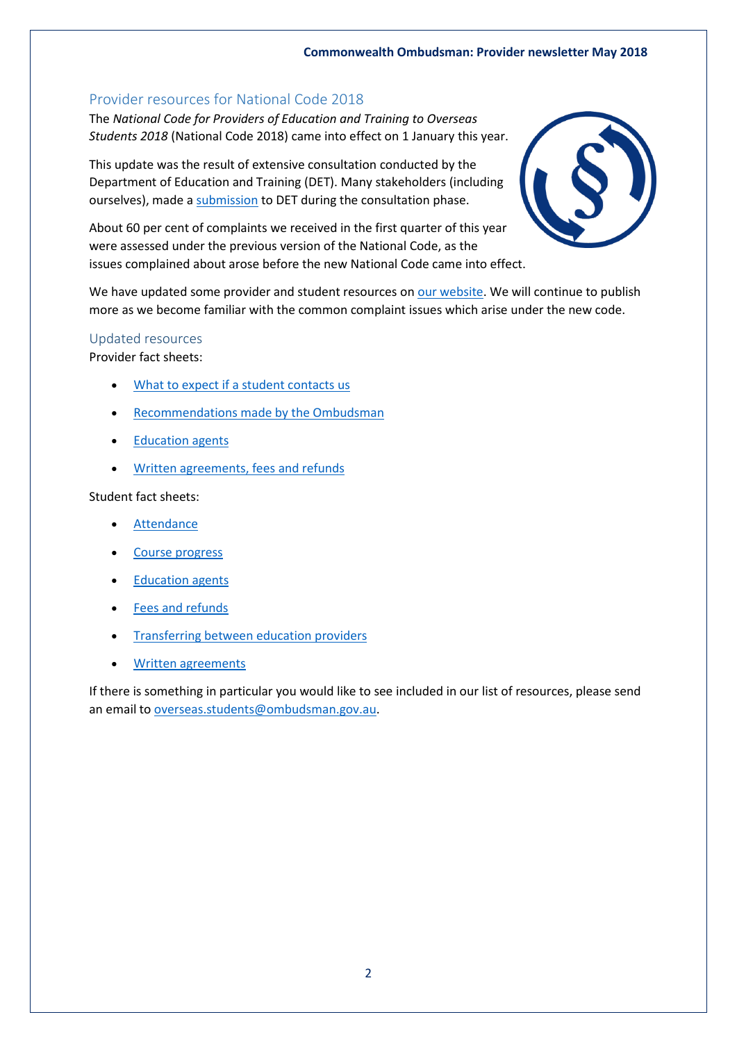#### **Commonwealth Ombudsman: Provider newsletter May 2018**

#### Provider resources for National Code 2018

The *National Code for Providers of Education and Training to Overseas Students 2018* (National Code 2018) came into effect on 1 January this year.

This update was the result of extensive consultation conducted by the Department of Education and Training (DET). Many stakeholders (including ourselves), made [a submission](http://www.ombudsman.gov.au/__data/assets/pdf_file/0025/49435/20170310-OSO-submission-to-the-2017-revision-of-the-ESOS-National-Code-A477160-LODGED.pdf) to DET during the consultation phase.

About 60 per cent of complaints we received in the first quarter of this year were assessed under the previous version of the National Code, as the issues complained about arose before the new National Code came into effect.



We have updated some provider and student resources o[n our website.](http://www.ombudsman.gov.au/publications/oso-publications#fact_sheets) We will continue to publish more as we become familiar with the common complaint issues which arise under the new code.

#### Updated resources

Provider fact sheets:

- [What to expect if a student contacts us](http://www.ombudsman.gov.au/__data/assets/pdf_file/0013/80140/Factsheet_provider_what-to-expect-if-a-student-contacts-us.pdf)
- [Recommendations made by the Ombudsman](http://www.ombudsman.gov.au/__data/assets/pdf_file/0021/80139/Factsheet_provider_recommendations.pdf)
- [Education agents](http://www.ombudsman.gov.au/__data/assets/pdf_file/0020/80138/Factsheet_provider_education-agents.pdf)
- [Written agreements, fees and refunds](http://www.ombudsman.gov.au/__data/assets/pdf_file/0014/80141/Factsheet_provider_written-agreements,-fees-and-refunds.pdf)

Student fact sheets:

- [Attendance](http://www.ombudsman.gov.au/__data/assets/pdf_file/0031/79681/Factsheet_student_attendance.pdf)
- [Course progress](http://www.ombudsman.gov.au/__data/assets/pdf_file/0032/79682/Factsheet_student_course-progress.pdf)
- [Education agents](http://www.ombudsman.gov.au/__data/assets/pdf_file/0033/79683/Factsheet_student_education-agents.pdf)
- [Fees and refunds](http://www.ombudsman.gov.au/__data/assets/pdf_file/0034/79684/Factsheet_student_fees-and-refunds.pdf)
- [Transferring between education providers](http://www.ombudsman.gov.au/__data/assets/pdf_file/0035/79685/Factsheet_student_transferring-between-education-providers.pdf)
- [Written agreements](http://www.ombudsman.gov.au/__data/assets/pdf_file/0036/79686/Factsheet_student_written-agreements.pdf)

If there is something in particular you would like to see included in our list of resources, please send an email t[o overseas.students@ombudsman.gov.au.](mailto:overseas.students@ombudsman.gov.au)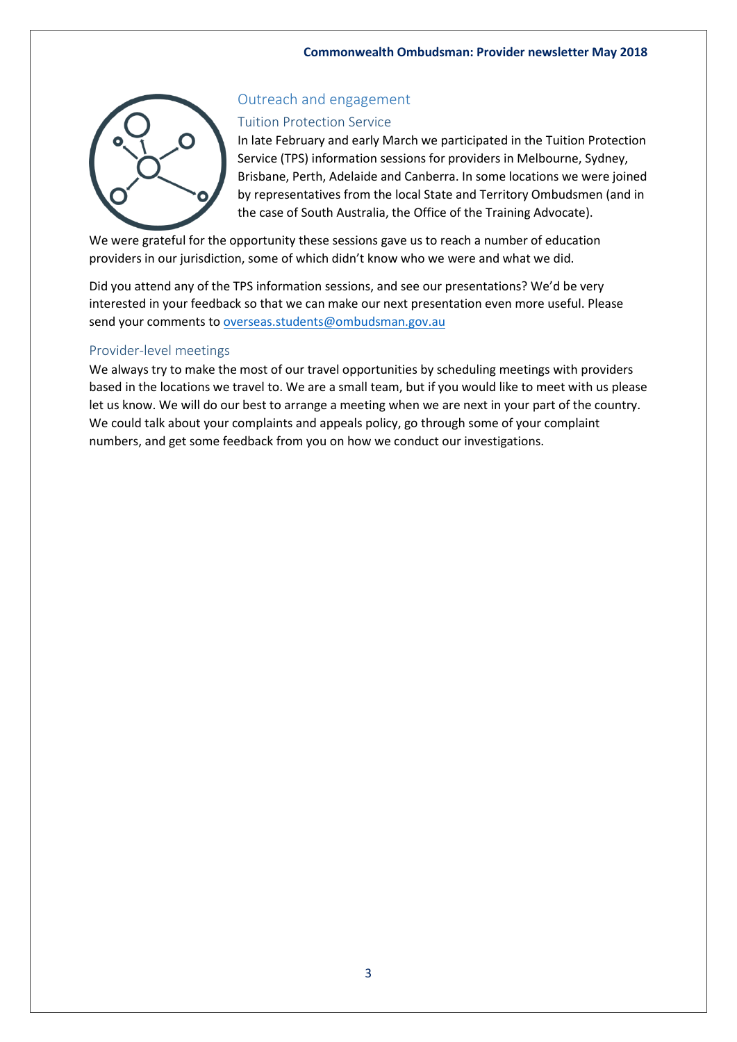

## Outreach and engagement

#### Tuition Protection Service

In late February and early March we participated in the Tuition Protection Service (TPS) information sessions for providers in Melbourne, Sydney, Brisbane, Perth, Adelaide and Canberra. In some locations we were joined by representatives from the local State and Territory Ombudsmen (and in the case of South Australia, the Office of the Training Advocate).

We were grateful for the opportunity these sessions gave us to reach a number of education providers in our jurisdiction, some of which didn't know who we were and what we did.

Did you attend any of the TPS information sessions, and see our presentations? We'd be very interested in your feedback so that we can make our next presentation even more useful. Please send your comments t[o overseas.students@ombudsman.gov.au](mailto:overseas.students@ombudsman.gov.au)

## Provider-level meetings

We always try to make the most of our travel opportunities by scheduling meetings with providers based in the locations we travel to. We are a small team, but if you would like to meet with us please let us know. We will do our best to arrange a meeting when we are next in your part of the country. We could talk about your complaints and appeals policy, go through some of your complaint numbers, and get some feedback from you on how we conduct our investigations.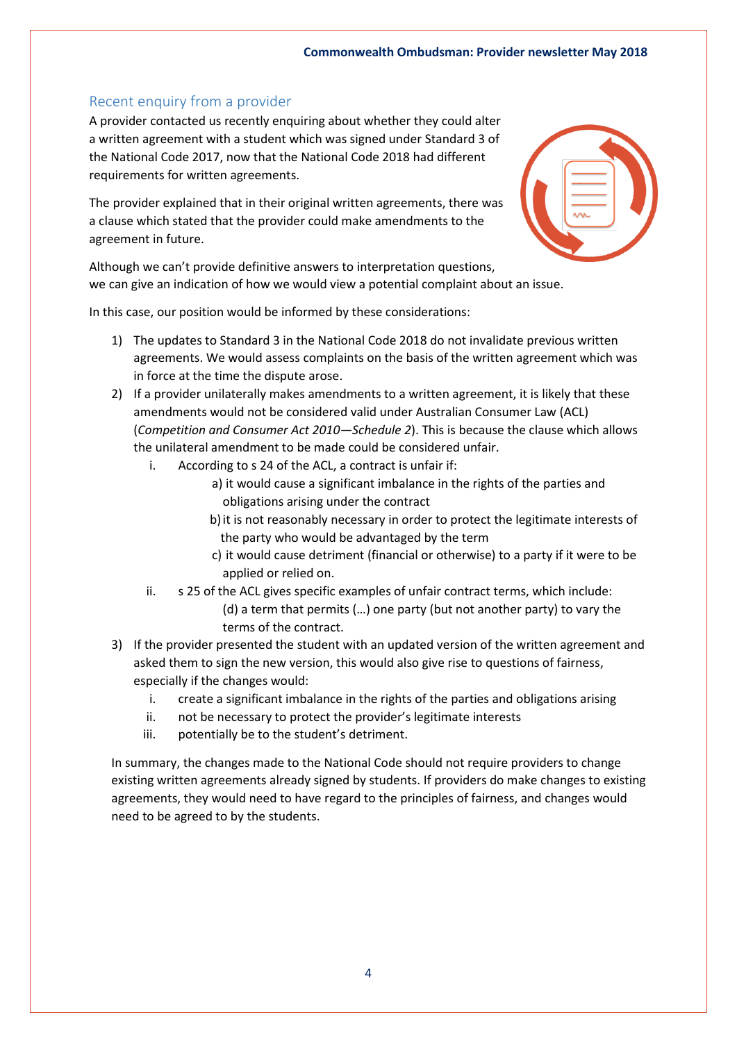## Recent enquiry from a provider

A provider contacted us recently enquiring about whether they could alter a written agreement with a student which was signed under Standard 3 of the National Code 2017, now that the National Code 2018 had different requirements for written agreements.

The provider explained that in their original written agreements, there was a clause which stated that the provider could make amendments to the agreement in future.

Although we can't provide definitive answers to interpretation questions, we can give an indication of how we would view a potential complaint about an issue.

In this case, our position would be informed by these considerations:

- 1) The updates to Standard 3 in the National Code 2018 do not invalidate previous written agreements. We would assess complaints on the basis of the written agreement which was in force at the time the dispute arose.
- 2) If a provider unilaterally makes amendments to a written agreement, it is likely that these amendments would not be considered valid under Australian Consumer Law (ACL) (*Competition and Consumer Act 2010—Schedule 2*). This is because the clause which allows the unilateral amendment to be made could be considered unfair.
	- i. According to s 24 of the ACL, a contract is unfair if:
		- a) it would cause a significant imbalance in the rights of the parties and obligations arising under the contract
		- b)it is not reasonably necessary in order to protect the legitimate interests of the party who would be advantaged by the term
		- c) it would cause detriment (financial or otherwise) to a party if it were to be applied or relied on.
	- ii. s 25 of the ACL gives specific examples of unfair contract terms, which include:
		- (d) a term that permits (…) one party (but not another party) to vary the terms of the contract.
- 3) If the provider presented the student with an updated version of the written agreement and asked them to sign the new version, this would also give rise to questions of fairness, especially if the changes would:
	- i. create a significant imbalance in the rights of the parties and obligations arising
	- ii. not be necessary to protect the provider's legitimate interests
	- iii. potentially be to the student's detriment.

In summary, the changes made to the National Code should not require providers to change existing written agreements already signed by students. If providers do make changes to existing agreements, they would need to have regard to the principles of fairness, and changes would need to be agreed to by the students.

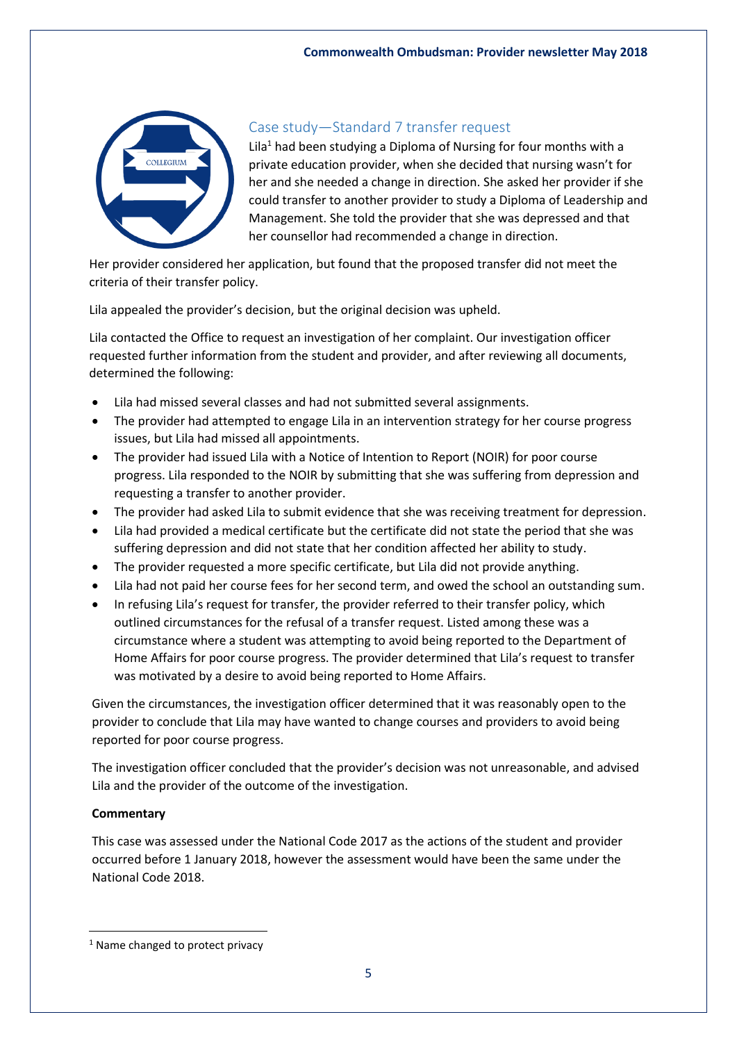

## Case study—Standard 7 transfer request

Lila<sup>1</sup> had been studying a Diploma of Nursing for four months with a private education provider, when she decided that nursing wasn't for her and she needed a change in direction. She asked her provider if she could transfer to another provider to study a Diploma of Leadership and Management. She told the provider that she was depressed and that her counsellor had recommended a change in direction.

Her provider considered her application, but found that the proposed transfer did not meet the criteria of their transfer policy.

Lila appealed the provider's decision, but the original decision was upheld.

Lila contacted the Office to request an investigation of her complaint. Our investigation officer requested further information from the student and provider, and after reviewing all documents, determined the following:

- Lila had missed several classes and had not submitted several assignments.
- The provider had attempted to engage Lila in an intervention strategy for her course progress issues, but Lila had missed all appointments.
- The provider had issued Lila with a Notice of Intention to Report (NOIR) for poor course progress. Lila responded to the NOIR by submitting that she was suffering from depression and requesting a transfer to another provider.
- The provider had asked Lila to submit evidence that she was receiving treatment for depression.
- Lila had provided a medical certificate but the certificate did not state the period that she was suffering depression and did not state that her condition affected her ability to study.
- The provider requested a more specific certificate, but Lila did not provide anything.
- Lila had not paid her course fees for her second term, and owed the school an outstanding sum.
- In refusing Lila's request for transfer, the provider referred to their transfer policy, which outlined circumstances for the refusal of a transfer request. Listed among these was a circumstance where a student was attempting to avoid being reported to the Department of Home Affairs for poor course progress. The provider determined that Lila's request to transfer was motivated by a desire to avoid being reported to Home Affairs.

Given the circumstances, the investigation officer determined that it was reasonably open to the provider to conclude that Lila may have wanted to change courses and providers to avoid being reported for poor course progress.

The investigation officer concluded that the provider's decision was not unreasonable, and advised Lila and the provider of the outcome of the investigation.

## **Commentary**

**.** 

This case was assessed under the National Code 2017 as the actions of the student and provider occurred before 1 January 2018, however the assessment would have been the same under the National Code 2018.

<sup>&</sup>lt;sup>1</sup> Name changed to protect privacy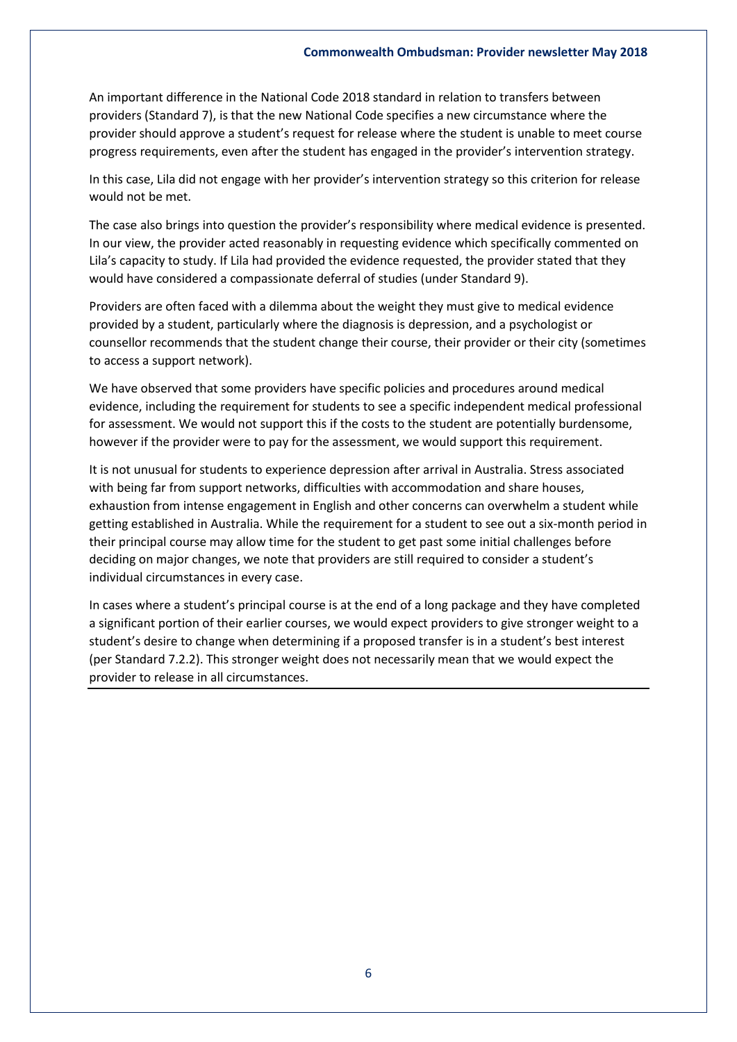An important difference in the National Code 2018 standard in relation to transfers between providers (Standard 7), is that the new National Code specifies a new circumstance where the provider should approve a student's request for release where the student is unable to meet course progress requirements, even after the student has engaged in the provider's intervention strategy.

In this case, Lila did not engage with her provider's intervention strategy so this criterion for release would not be met.

The case also brings into question the provider's responsibility where medical evidence is presented. In our view, the provider acted reasonably in requesting evidence which specifically commented on Lila's capacity to study. If Lila had provided the evidence requested, the provider stated that they would have considered a compassionate deferral of studies (under Standard 9).

Providers are often faced with a dilemma about the weight they must give to medical evidence provided by a student, particularly where the diagnosis is depression, and a psychologist or counsellor recommends that the student change their course, their provider or their city (sometimes to access a support network).

We have observed that some providers have specific policies and procedures around medical evidence, including the requirement for students to see a specific independent medical professional for assessment. We would not support this if the costs to the student are potentially burdensome, however if the provider were to pay for the assessment, we would support this requirement.

It is not unusual for students to experience depression after arrival in Australia. Stress associated with being far from support networks, difficulties with accommodation and share houses, exhaustion from intense engagement in English and other concerns can overwhelm a student while getting established in Australia. While the requirement for a student to see out a six-month period in their principal course may allow time for the student to get past some initial challenges before deciding on major changes, we note that providers are still required to consider a student's individual circumstances in every case.

In cases where a student's principal course is at the end of a long package and they have completed a significant portion of their earlier courses, we would expect providers to give stronger weight to a student's desire to change when determining if a proposed transfer is in a student's best interest (per Standard 7.2.2). This stronger weight does not necessarily mean that we would expect the provider to release in all circumstances.